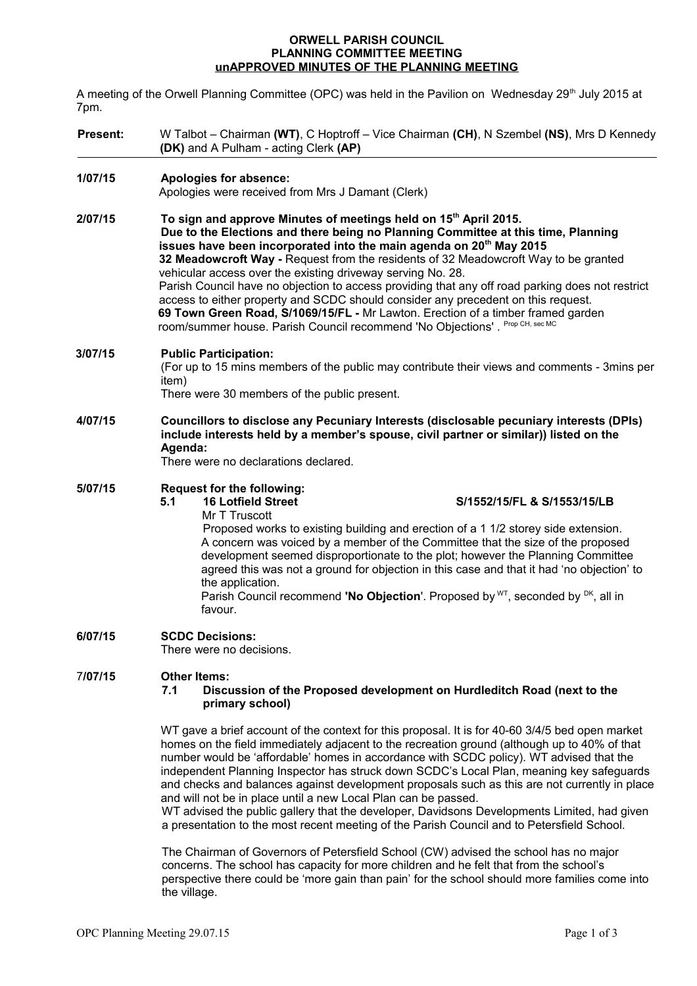## **ORWELL PARISH COUNCIL PLANNING COMMITTEE MEETING unAPPROVED MINUTES OF THE PLANNING MEETING**

A meeting of the Orwell Planning Committee (OPC) was held in the Pavilion on Wednesday 29<sup>th</sup> July 2015 at 7pm.

| <b>Present:</b> |                                                                                                                                                                                                                                                                                                                                                                                                                                                                                                                                                                                                                                                                                                                                                                         | W Talbot – Chairman (WT), C Hoptroff – Vice Chairman (CH), N Szembel (NS), Mrs D Kennedy<br>(DK) and A Pulham - acting Clerk (AP)                                                                                                                                                                                                                                                                                                                                                                                                                                                               |  |
|-----------------|-------------------------------------------------------------------------------------------------------------------------------------------------------------------------------------------------------------------------------------------------------------------------------------------------------------------------------------------------------------------------------------------------------------------------------------------------------------------------------------------------------------------------------------------------------------------------------------------------------------------------------------------------------------------------------------------------------------------------------------------------------------------------|-------------------------------------------------------------------------------------------------------------------------------------------------------------------------------------------------------------------------------------------------------------------------------------------------------------------------------------------------------------------------------------------------------------------------------------------------------------------------------------------------------------------------------------------------------------------------------------------------|--|
| 1/07/15         | Apologies for absence:<br>Apologies were received from Mrs J Damant (Clerk)                                                                                                                                                                                                                                                                                                                                                                                                                                                                                                                                                                                                                                                                                             |                                                                                                                                                                                                                                                                                                                                                                                                                                                                                                                                                                                                 |  |
| 2/07/15         | To sign and approve Minutes of meetings held on 15 <sup>th</sup> April 2015.<br>Due to the Elections and there being no Planning Committee at this time, Planning<br>issues have been incorporated into the main agenda on 20 <sup>th</sup> May 2015<br>32 Meadowcroft Way - Request from the residents of 32 Meadowcroft Way to be granted<br>vehicular access over the existing driveway serving No. 28.<br>Parish Council have no objection to access providing that any off road parking does not restrict<br>access to either property and SCDC should consider any precedent on this request.<br>69 Town Green Road, S/1069/15/FL - Mr Lawton. Erection of a timber framed garden<br>room/summer house. Parish Council recommend 'No Objections'. Prop CH, sec MC |                                                                                                                                                                                                                                                                                                                                                                                                                                                                                                                                                                                                 |  |
| 3/07/15         | <b>Public Participation:</b><br>(For up to 15 mins members of the public may contribute their views and comments - 3mins per<br>item)<br>There were 30 members of the public present.                                                                                                                                                                                                                                                                                                                                                                                                                                                                                                                                                                                   |                                                                                                                                                                                                                                                                                                                                                                                                                                                                                                                                                                                                 |  |
| 4/07/15         | Councillors to disclose any Pecuniary Interests (disclosable pecuniary interests (DPIs)<br>include interests held by a member's spouse, civil partner or similar)) listed on the<br>Agenda:<br>There were no declarations declared.                                                                                                                                                                                                                                                                                                                                                                                                                                                                                                                                     |                                                                                                                                                                                                                                                                                                                                                                                                                                                                                                                                                                                                 |  |
| 5/07/15         | 5.1                                                                                                                                                                                                                                                                                                                                                                                                                                                                                                                                                                                                                                                                                                                                                                     | <b>Request for the following:</b><br><b>16 Lotfield Street</b><br>S/1552/15/FL & S/1553/15/LB<br>Mr T Truscott<br>Proposed works to existing building and erection of a 1 1/2 storey side extension.<br>A concern was voiced by a member of the Committee that the size of the proposed<br>development seemed disproportionate to the plot; however the Planning Committee<br>agreed this was not a ground for objection in this case and that it had 'no objection' to<br>the application.<br>Parish Council recommend 'No Objection'. Proposed by $WT$ , seconded by $DK$ , all in<br>favour. |  |
| 6/07/15         | <b>SCDC Decisions:</b><br>There were no decisions.                                                                                                                                                                                                                                                                                                                                                                                                                                                                                                                                                                                                                                                                                                                      |                                                                                                                                                                                                                                                                                                                                                                                                                                                                                                                                                                                                 |  |
| 7/07/15         | 7.1                                                                                                                                                                                                                                                                                                                                                                                                                                                                                                                                                                                                                                                                                                                                                                     | <b>Other Items:</b><br>Discussion of the Proposed development on Hurdleditch Road (next to the<br>primary school)                                                                                                                                                                                                                                                                                                                                                                                                                                                                               |  |
|                 | WT gave a brief account of the context for this proposal. It is for 40-60 3/4/5 bed open market<br>homes on the field immediately adjacent to the recreation ground (although up to 40% of that<br>number would be 'affordable' homes in accordance with SCDC policy). WT advised that the<br>independent Planning Inspector has struck down SCDC's Local Plan, meaning key safeguards<br>and checks and balances against development proposals such as this are not currently in place<br>and will not be in place until a new Local Plan can be passed.<br>WT advised the public gallery that the developer, Davidsons Developments Limited, had given<br>a presentation to the most recent meeting of the Parish Council and to Petersfield School.                  |                                                                                                                                                                                                                                                                                                                                                                                                                                                                                                                                                                                                 |  |
|                 | The Chairman of Governors of Petersfield School (CW) advised the school has no major<br>concerns. The school has capacity for more children and he felt that from the school's                                                                                                                                                                                                                                                                                                                                                                                                                                                                                                                                                                                          |                                                                                                                                                                                                                                                                                                                                                                                                                                                                                                                                                                                                 |  |

perspective there could be 'more gain than pain' for the school should more families come into the village.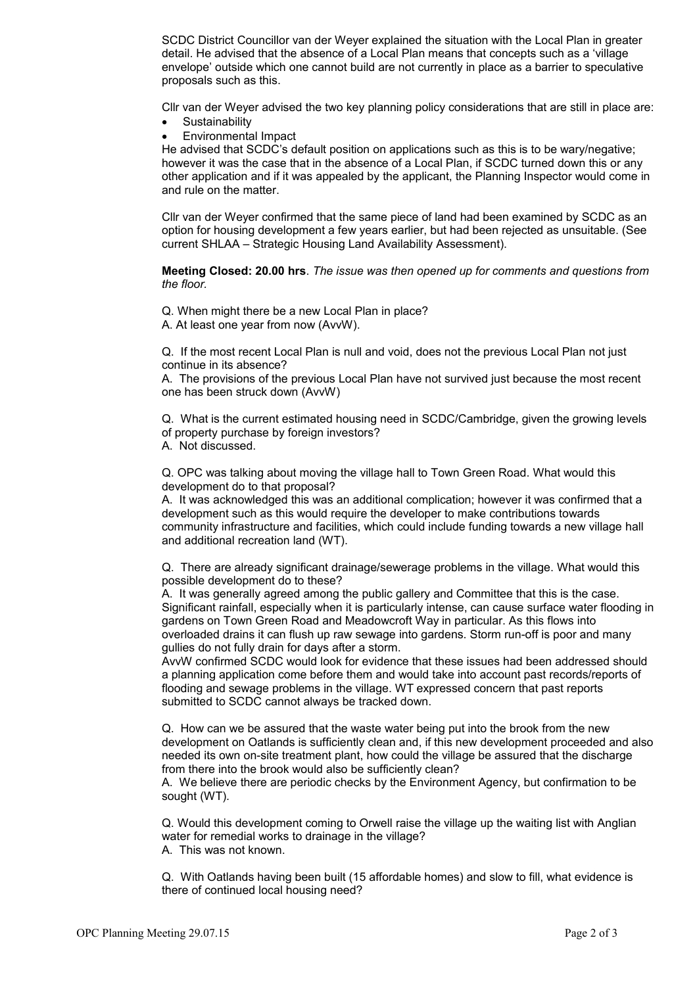SCDC District Councillor van der Weyer explained the situation with the Local Plan in greater detail. He advised that the absence of a Local Plan means that concepts such as a 'village envelope' outside which one cannot build are not currently in place as a barrier to speculative proposals such as this.

Cllr van der Weyer advised the two key planning policy considerations that are still in place are:

- **Sustainability**
- Environmental Impact

He advised that SCDC's default position on applications such as this is to be wary/negative; however it was the case that in the absence of a Local Plan, if SCDC turned down this or any other application and if it was appealed by the applicant, the Planning Inspector would come in and rule on the matter.

Cllr van der Weyer confirmed that the same piece of land had been examined by SCDC as an option for housing development a few years earlier, but had been rejected as unsuitable. (See current SHLAA – Strategic Housing Land Availability Assessment).

**Meeting Closed: 20.00 hrs**. *The issue was then opened up for comments and questions from the floor.*

Q. When might there be a new Local Plan in place?

A. At least one year from now (AvvW).

Q. If the most recent Local Plan is null and void, does not the previous Local Plan not just continue in its absence?

A. The provisions of the previous Local Plan have not survived just because the most recent one has been struck down (AvvW)

Q. What is the current estimated housing need in SCDC/Cambridge, given the growing levels of property purchase by foreign investors?

A. Not discussed.

Q. OPC was talking about moving the village hall to Town Green Road. What would this development do to that proposal?

A. It was acknowledged this was an additional complication; however it was confirmed that a development such as this would require the developer to make contributions towards community infrastructure and facilities, which could include funding towards a new village hall and additional recreation land (WT).

Q. There are already significant drainage/sewerage problems in the village. What would this possible development do to these?

A. It was generally agreed among the public gallery and Committee that this is the case. Significant rainfall, especially when it is particularly intense, can cause surface water flooding in gardens on Town Green Road and Meadowcroft Way in particular. As this flows into overloaded drains it can flush up raw sewage into gardens. Storm run-off is poor and many gullies do not fully drain for days after a storm.

AvvW confirmed SCDC would look for evidence that these issues had been addressed should a planning application come before them and would take into account past records/reports of flooding and sewage problems in the village. WT expressed concern that past reports submitted to SCDC cannot always be tracked down.

Q. How can we be assured that the waste water being put into the brook from the new development on Oatlands is sufficiently clean and, if this new development proceeded and also needed its own on-site treatment plant, how could the village be assured that the discharge from there into the brook would also be sufficiently clean?

A. We believe there are periodic checks by the Environment Agency, but confirmation to be sought (WT).

Q. Would this development coming to Orwell raise the village up the waiting list with Anglian water for remedial works to drainage in the village?

A. This was not known.

Q. With Oatlands having been built (15 affordable homes) and slow to fill, what evidence is there of continued local housing need?